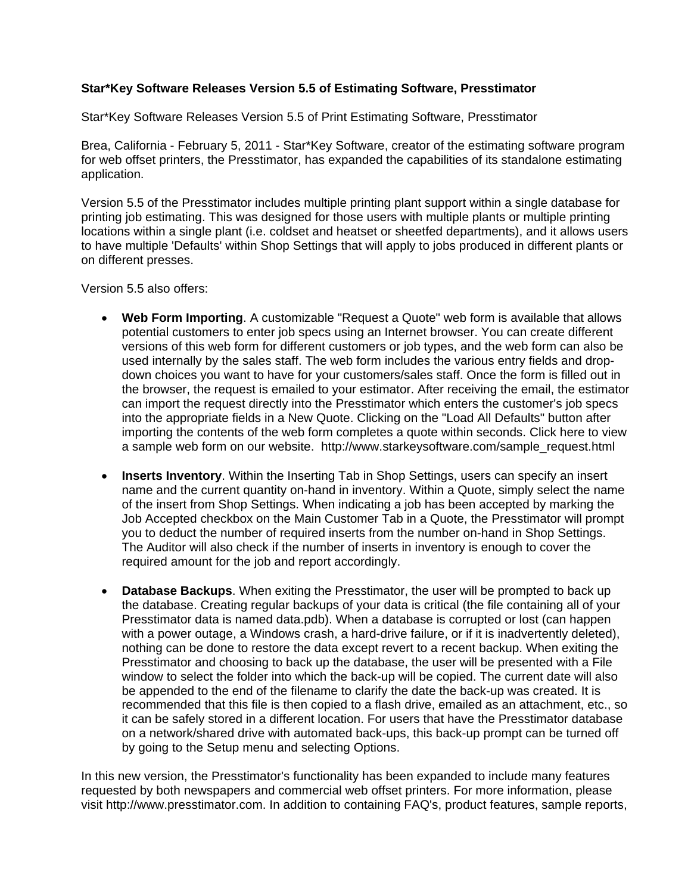## **Star\*Key Software Releases Version 5.5 of Estimating Software, Presstimator**

Star\*Key Software Releases Version 5.5 of Print Estimating Software, Presstimator

Brea, California - February 5, 2011 - Star\*Key Software, creator of the estimating software program for web offset printers, the Presstimator, has expanded the capabilities of its standalone estimating application.

Version 5.5 of the Presstimator includes multiple printing plant support within a single database for printing job estimating. This was designed for those users with multiple plants or multiple printing locations within a single plant (i.e. coldset and heatset or sheetfed departments), and it allows users to have multiple 'Defaults' within Shop Settings that will apply to jobs produced in different plants or on different presses.

Version 5.5 also offers:

- **Web Form Importing**. A customizable "Request a Quote" web form is available that allows potential customers to enter job specs using an Internet browser. You can create different versions of this web form for different customers or job types, and the web form can also be used internally by the sales staff. The web form includes the various entry fields and dropdown choices you want to have for your customers/sales staff. Once the form is filled out in the browser, the request is emailed to your estimator. After receiving the email, the estimator can import the request directly into the Presstimator which enters the customer's job specs into the appropriate fields in a New Quote. Clicking on the "Load All Defaults" button after importing the contents of the web form completes a quote within seconds. Click here to view a sample web form on our website. http://www.starkeysoftware.com/sample\_request.html
- **Inserts Inventory.** Within the Inserting Tab in Shop Settings, users can specify an insert name and the current quantity on-hand in inventory. Within a Quote, simply select the name of the insert from Shop Settings. When indicating a job has been accepted by marking the Job Accepted checkbox on the Main Customer Tab in a Quote, the Presstimator will prompt you to deduct the number of required inserts from the number on-hand in Shop Settings. The Auditor will also check if the number of inserts in inventory is enough to cover the required amount for the job and report accordingly.
- **Database Backups**. When exiting the Presstimator, the user will be prompted to back up the database. Creating regular backups of your data is critical (the file containing all of your Presstimator data is named data.pdb). When a database is corrupted or lost (can happen with a power outage, a Windows crash, a hard-drive failure, or if it is inadvertently deleted), nothing can be done to restore the data except revert to a recent backup. When exiting the Presstimator and choosing to back up the database, the user will be presented with a File window to select the folder into which the back-up will be copied. The current date will also be appended to the end of the filename to clarify the date the back-up was created. It is recommended that this file is then copied to a flash drive, emailed as an attachment, etc., so it can be safely stored in a different location. For users that have the Presstimator database on a network/shared drive with automated back-ups, this back-up prompt can be turned off by going to the Setup menu and selecting Options.

In this new version, the Presstimator's functionality has been expanded to include many features requested by both newspapers and commercial web offset printers. For more information, please visit http://www.presstimator.com. In addition to containing FAQ's, product features, sample reports,